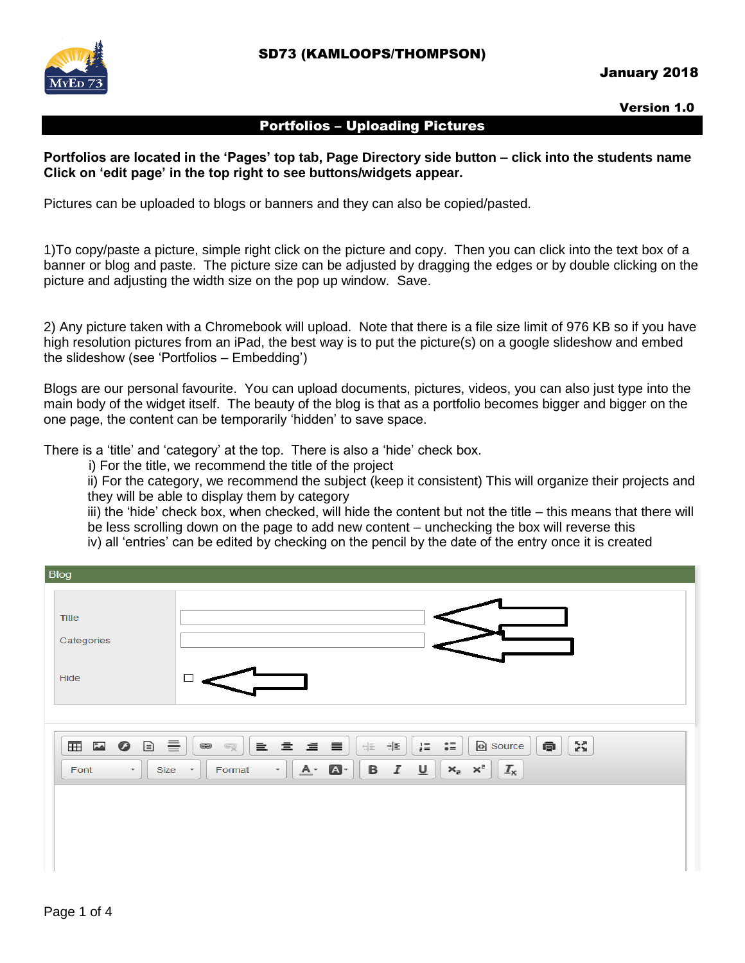

#### January 2018

Version 1.0

#### Portfolios – Uploading Pictures

**Portfolios are located in the 'Pages' top tab, Page Directory side button – click into the students name Click on 'edit page' in the top right to see buttons/widgets appear.**

Pictures can be uploaded to blogs or banners and they can also be copied/pasted.

1)To copy/paste a picture, simple right click on the picture and copy. Then you can click into the text box of a banner or blog and paste. The picture size can be adjusted by dragging the edges or by double clicking on the picture and adjusting the width size on the pop up window. Save.

2) Any picture taken with a Chromebook will upload. Note that there is a file size limit of 976 KB so if you have high resolution pictures from an iPad, the best way is to put the picture(s) on a google slideshow and embed the slideshow (see 'Portfolios – Embedding')

Blogs are our personal favourite. You can upload documents, pictures, videos, you can also just type into the main body of the widget itself. The beauty of the blog is that as a portfolio becomes bigger and bigger on the one page, the content can be temporarily 'hidden' to save space.

There is a 'title' and 'category' at the top. There is also a 'hide' check box.

i) For the title, we recommend the title of the project

ii) For the category, we recommend the subject (keep it consistent) This will organize their projects and they will be able to display them by category

iii) the 'hide' check box, when checked, will hide the content but not the title – this means that there will be less scrolling down on the page to add new content – unchecking the box will reverse this

iv) all 'entries' can be edited by checking on the pencil by the date of the entry once it is created

| <b>Blog</b>                                                                                     |                                                                                                                                                                                                                                                                                        |
|-------------------------------------------------------------------------------------------------|----------------------------------------------------------------------------------------------------------------------------------------------------------------------------------------------------------------------------------------------------------------------------------------|
| <b>Title</b><br>Categories                                                                      |                                                                                                                                                                                                                                                                                        |
| Hide                                                                                            |                                                                                                                                                                                                                                                                                        |
| $\equiv$<br>$\Box$<br>$\boxplus$<br>◎<br>$\ddot{ }$<br>$\overline{\phantom{a}}$<br>Font<br>Size | ŽŠ.<br>貢<br>直直直直<br>베리<br>$\bullet =$<br>Source<br>6만<br>$\frac{1}{2}$<br>$\circledast$<br>$\mathfrak{S}$<br>$x_{\rm e}$ $x^{\rm e}$<br>$\mathbf{a}$<br>B I<br>$\underline{\mathsf{u}}$<br>$I_{\mathsf{x}}$<br>$A -$<br>Format<br>$\overline{\phantom{a}}$<br>$\overline{\phantom{a}}$ |
|                                                                                                 |                                                                                                                                                                                                                                                                                        |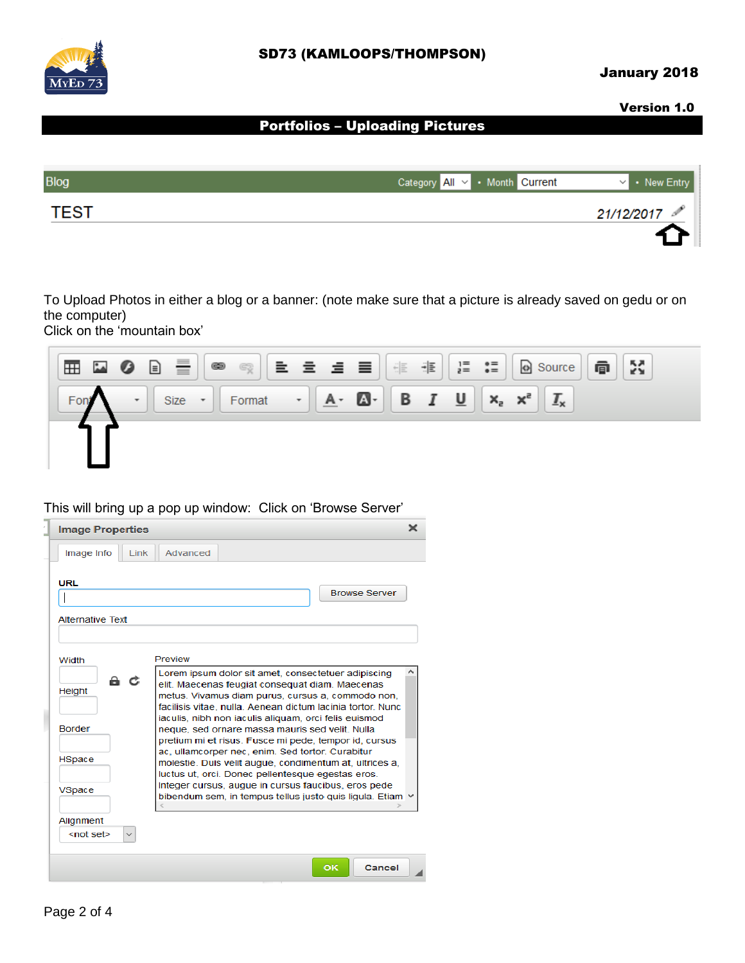

## January 2018

#### Version 1.0

# Portfolios – Uploading Pictures

| <b>Blog</b> | Category All v • Month Current<br>$\vee$ • New Entry |  |
|-------------|------------------------------------------------------|--|
| <b>TEST</b> | 21/12/2017                                           |  |
|             |                                                      |  |

To Upload Photos in either a blog or a banner: (note make sure that a picture is already saved on gedu or on the computer)

Click on the 'mountain box'



#### This will bring up a pop up window: Click on 'Browse Server'

| Image Info<br>Advanced<br>Link<br><b>URL</b><br><b>Browse Server</b><br><b>Alternative Text</b><br>Preview<br>Width<br>Lorem ipsum dolor sit amet, consectetuer adipiscing<br>a c<br>elit. Maecenas feugiat consequat diam. Maecenas<br><b>Height</b><br>metus. Vivamus diam purus, cursus a, commodo non,<br>facilisis vitae, nulla. Aenean dictum lacinia tortor, Nunc<br>iaculis, nibh non iaculis aliguam, orci felis euismod<br><b>Border</b><br>neque, sed ornare massa mauris sed velit. Nulla<br>pretium mi et risus. Fusce mi pede, tempor id, cursus<br>ac, ullamcorper nec, enim. Sed tortor. Curabitur<br><b>HSpace</b><br>molestie. Duis velit augue, condimentum at, ultrices a,<br>luctus ut, orci. Donec pellentesque egestas eros.<br>Integer cursus, augue in cursus faucibus, eros pede<br>VSpace<br>bibendum sem, in tempus tellus justo quis liquia. Etiam v<br>Alignment<br><not set=""></not> |                         |    |        |
|----------------------------------------------------------------------------------------------------------------------------------------------------------------------------------------------------------------------------------------------------------------------------------------------------------------------------------------------------------------------------------------------------------------------------------------------------------------------------------------------------------------------------------------------------------------------------------------------------------------------------------------------------------------------------------------------------------------------------------------------------------------------------------------------------------------------------------------------------------------------------------------------------------------------|-------------------------|----|--------|
|                                                                                                                                                                                                                                                                                                                                                                                                                                                                                                                                                                                                                                                                                                                                                                                                                                                                                                                      | <b>Image Properties</b> |    | ж      |
|                                                                                                                                                                                                                                                                                                                                                                                                                                                                                                                                                                                                                                                                                                                                                                                                                                                                                                                      |                         |    |        |
|                                                                                                                                                                                                                                                                                                                                                                                                                                                                                                                                                                                                                                                                                                                                                                                                                                                                                                                      |                         |    |        |
|                                                                                                                                                                                                                                                                                                                                                                                                                                                                                                                                                                                                                                                                                                                                                                                                                                                                                                                      |                         |    |        |
|                                                                                                                                                                                                                                                                                                                                                                                                                                                                                                                                                                                                                                                                                                                                                                                                                                                                                                                      |                         |    |        |
|                                                                                                                                                                                                                                                                                                                                                                                                                                                                                                                                                                                                                                                                                                                                                                                                                                                                                                                      |                         |    |        |
|                                                                                                                                                                                                                                                                                                                                                                                                                                                                                                                                                                                                                                                                                                                                                                                                                                                                                                                      |                         |    |        |
|                                                                                                                                                                                                                                                                                                                                                                                                                                                                                                                                                                                                                                                                                                                                                                                                                                                                                                                      |                         |    |        |
|                                                                                                                                                                                                                                                                                                                                                                                                                                                                                                                                                                                                                                                                                                                                                                                                                                                                                                                      |                         |    |        |
|                                                                                                                                                                                                                                                                                                                                                                                                                                                                                                                                                                                                                                                                                                                                                                                                                                                                                                                      |                         |    |        |
|                                                                                                                                                                                                                                                                                                                                                                                                                                                                                                                                                                                                                                                                                                                                                                                                                                                                                                                      |                         |    |        |
|                                                                                                                                                                                                                                                                                                                                                                                                                                                                                                                                                                                                                                                                                                                                                                                                                                                                                                                      |                         |    |        |
|                                                                                                                                                                                                                                                                                                                                                                                                                                                                                                                                                                                                                                                                                                                                                                                                                                                                                                                      |                         |    |        |
|                                                                                                                                                                                                                                                                                                                                                                                                                                                                                                                                                                                                                                                                                                                                                                                                                                                                                                                      |                         | OK | Cancel |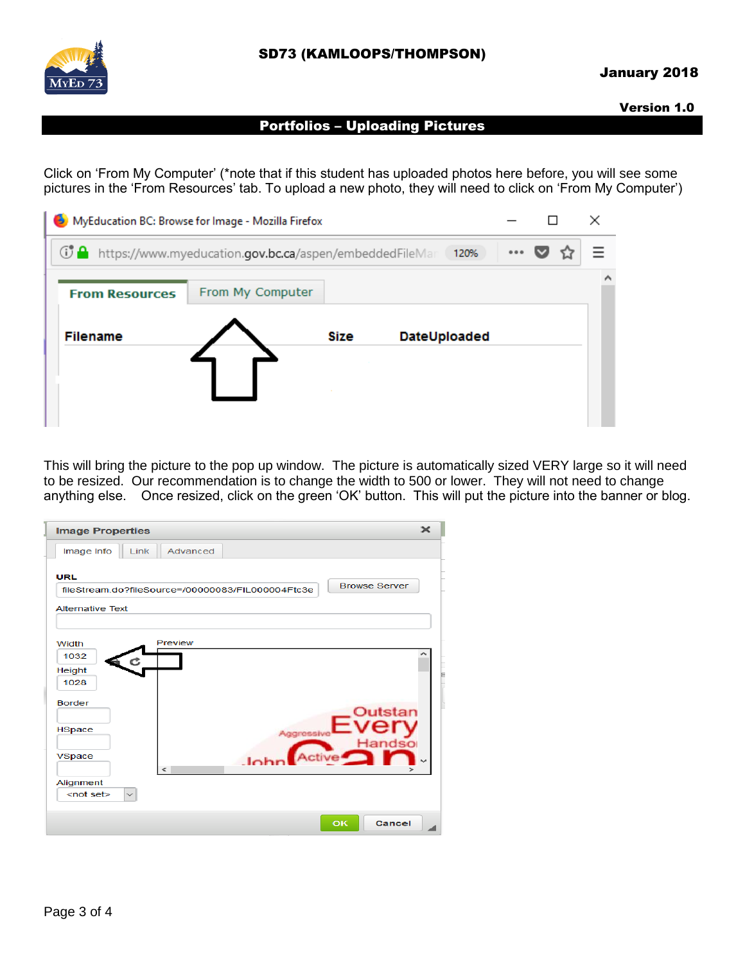

#### January 2018

Version 1.0

## Portfolios – Uploading Pictures

Click on 'From My Computer' (\*note that if this student has uploaded photos here before, you will see some pictures in the 'From Resources' tab. To upload a new photo, they will need to click on 'From My Computer')

| MyEducation BC: Browse for Image - Mozilla Firefox<br>B |                                                                    |             |              |       |   |
|---------------------------------------------------------|--------------------------------------------------------------------|-------------|--------------|-------|---|
|                                                         | <b>1 A</b> https://www.myeducation.gov.bc.ca/aspen/embeddedFileMar |             | 120%         | 0.0.0 |   |
| <b>From Resources</b>                                   | From My Computer                                                   |             |              |       | ^ |
| <b>Filename</b>                                         |                                                                    | <b>Size</b> | DateUploaded |       |   |
|                                                         |                                                                    |             |              |       |   |
|                                                         |                                                                    |             |              |       |   |

This will bring the picture to the pop up window. The picture is automatically sized VERY large so it will need to be resized. Our recommendation is to change the width to 500 or lower. They will not need to change anything else. Once resized, click on the green 'OK' button. This will put the picture into the banner or blog.

| <b>Image Properties</b>   | $\mathbf{x}$                                                              |
|---------------------------|---------------------------------------------------------------------------|
| Image Info                | Advanced<br>Link                                                          |
| <b>URL</b>                |                                                                           |
|                           | <b>Browse Server</b><br>fileStream.do?fileSource=/00000083/FIL000004Ftc3e |
| <b>Alternative Text</b>   |                                                                           |
|                           |                                                                           |
| Width                     | Preview                                                                   |
| 1032                      |                                                                           |
| Height                    |                                                                           |
| 1028                      |                                                                           |
| <b>Border</b>             |                                                                           |
|                           | Outstan                                                                   |
| <b>HSpace</b>             | Aggressive<br>Handso                                                      |
| VSpace                    | tive <sup>2</sup>                                                         |
|                           | $\epsilon$                                                                |
| Alignment                 |                                                                           |
| $\checkmark$<br>$not set$ |                                                                           |
|                           |                                                                           |
|                           | OK<br><b>Cancel</b>                                                       |